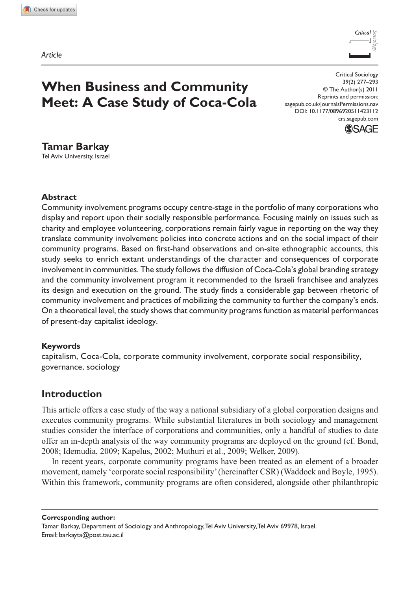*Article*



# **When Business and Community Meet: A Case Study of Coca-Cola**

Critical Sociology 39(2) 277–293 © The Author(s) 2011 Reprints and permission: sagepub.co.uk/journalsPermissions.nav DOI: 10.1177/0896920511423112 crs.sagepub.com



## **Tamar Barkay**

Tel Aviv University, Israel

#### **Abstract**

Community involvement programs occupy centre-stage in the portfolio of many corporations who display and report upon their socially responsible performance. Focusing mainly on issues such as charity and employee volunteering, corporations remain fairly vague in reporting on the way they translate community involvement policies into concrete actions and on the social impact of their community programs. Based on first-hand observations and on-site ethnographic accounts, this study seeks to enrich extant understandings of the character and consequences of corporate involvement in communities. The study follows the diffusion of Coca-Cola's global branding strategy and the community involvement program it recommended to the Israeli franchisee and analyzes its design and execution on the ground. The study finds a considerable gap between rhetoric of community involvement and practices of mobilizing the community to further the company's ends. On a theoretical level, the study shows that community programs function as material performances of present-day capitalist ideology.

#### **Keywords**

capitalism, Coca-Cola, corporate community involvement, corporate social responsibility, governance, sociology

## **Introduction**

This article offers a case study of the way a national subsidiary of a global corporation designs and executes community programs. While substantial literatures in both sociology and management studies consider the interface of corporations and communities, only a handful of studies to date offer an in-depth analysis of the way community programs are deployed on the ground (cf. Bond, 2008; Idemudia, 2009; Kapelus, 2002; Muthuri et al., 2009; Welker, 2009).

In recent years, corporate community programs have been treated as an element of a broader movement, namely 'corporate social responsibility' (hereinafter CSR) (Waddock and Boyle, 1995). Within this framework, community programs are often considered, alongside other philanthropic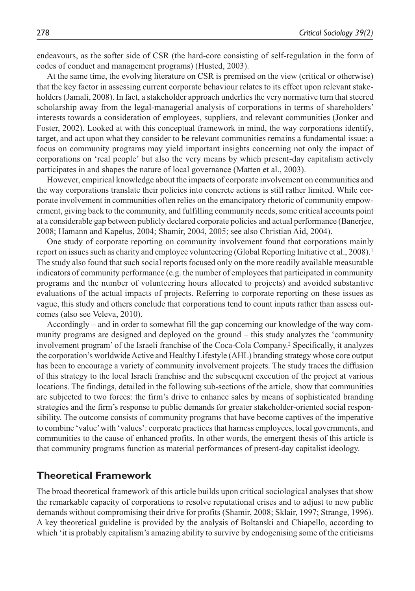endeavours, as the softer side of CSR (the hard-core consisting of self-regulation in the form of codes of conduct and management programs) (Husted, 2003).

At the same time, the evolving literature on CSR is premised on the view (critical or otherwise) that the key factor in assessing current corporate behaviour relates to its effect upon relevant stakeholders (Jamali, 2008). In fact, a stakeholder approach underlies the very normative turn that steered scholarship away from the legal-managerial analysis of corporations in terms of shareholders' interests towards a consideration of employees, suppliers, and relevant communities (Jonker and Foster, 2002). Looked at with this conceptual framework in mind, the way corporations identify, target, and act upon what they consider to be relevant communities remains a fundamental issue: a focus on community programs may yield important insights concerning not only the impact of corporations on 'real people' but also the very means by which present-day capitalism actively participates in and shapes the nature of local governance (Matten et al., 2003).

However, empirical knowledge about the impacts of corporate involvement on communities and the way corporations translate their policies into concrete actions is still rather limited. While corporate involvement in communities often relies on the emancipatory rhetoric of community empowerment, giving back to the community, and fulfilling community needs, some critical accounts point at a considerable gap between publicly declared corporate policies and actual performance (Banerjee, 2008; Hamann and Kapelus, 2004; Shamir, 2004, 2005; see also Christian Aid, 2004).

One study of corporate reporting on community involvement found that corporations mainly report on issues such as charity and employee volunteering (Global Reporting Initiative et al., 2008).<sup>1</sup> The study also found that such social reports focused only on the more readily available measurable indicators of community performance (e.g. the number of employees that participated in community programs and the number of volunteering hours allocated to projects) and avoided substantive evaluations of the actual impacts of projects. Referring to corporate reporting on these issues as vague, this study and others conclude that corporations tend to count inputs rather than assess outcomes (also see Veleva, 2010).

Accordingly – and in order to somewhat fill the gap concerning our knowledge of the way community programs are designed and deployed on the ground – this study analyzes the 'community involvement program' of the Israeli franchise of the Coca-Cola Company.2 Specifically, it analyzes the corporation's worldwide Active and Healthy Lifestyle (AHL) branding strategy whose core output has been to encourage a variety of community involvement projects. The study traces the diffusion of this strategy to the local Israeli franchise and the subsequent execution of the project at various locations. The findings, detailed in the following sub-sections of the article, show that communities are subjected to two forces: the firm's drive to enhance sales by means of sophisticated branding strategies and the firm's response to public demands for greater stakeholder-oriented social responsibility. The outcome consists of community programs that have become captives of the imperative to combine 'value' with 'values': corporate practices that harness employees, local governments, and communities to the cause of enhanced profits. In other words, the emergent thesis of this article is that community programs function as material performances of present-day capitalist ideology.

#### **Theoretical Framework**

The broad theoretical framework of this article builds upon critical sociological analyses that show the remarkable capacity of corporations to resolve reputational crises and to adjust to new public demands without compromising their drive for profits (Shamir, 2008; Sklair, 1997; Strange, 1996). A key theoretical guideline is provided by the analysis of Boltanski and Chiapello, according to which 'it is probably capitalism's amazing ability to survive by endogenising some of the criticisms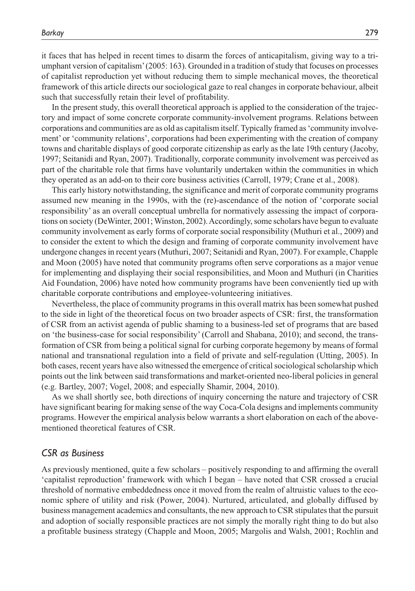it faces that has helped in recent times to disarm the forces of anticapitalism, giving way to a triumphant version of capitalism' (2005: 163). Grounded in a tradition of study that focuses on processes of capitalist reproduction yet without reducing them to simple mechanical moves, the theoretical framework of this article directs our sociological gaze to real changes in corporate behaviour, albeit such that successfully retain their level of profitability.

In the present study, this overall theoretical approach is applied to the consideration of the trajectory and impact of some concrete corporate community-involvement programs. Relations between corporations and communities are as old as capitalism itself. Typically framed as 'community involvement' or 'community relations', corporations had been experimenting with the creation of company towns and charitable displays of good corporate citizenship as early as the late 19th century (Jacoby, 1997; Seitanidi and Ryan, 2007). Traditionally, corporate community involvement was perceived as part of the charitable role that firms have voluntarily undertaken within the communities in which they operated as an add-on to their core business activities (Carroll, 1979; Crane et al., 2008).

This early history notwithstanding, the significance and merit of corporate community programs assumed new meaning in the 1990s, with the (re)-ascendance of the notion of 'corporate social responsibility' as an overall conceptual umbrella for normatively assessing the impact of corporations on society (DeWinter, 2001; Winston, 2002). Accordingly, some scholars have begun to evaluate community involvement as early forms of corporate social responsibility (Muthuri et al., 2009) and to consider the extent to which the design and framing of corporate community involvement have undergone changes in recent years (Muthuri, 2007; Seitanidi and Ryan, 2007). For example, Chapple and Moon (2005) have noted that community programs often serve corporations as a major venue for implementing and displaying their social responsibilities, and Moon and Muthuri (in Charities Aid Foundation, 2006) have noted how community programs have been conveniently tied up with charitable corporate contributions and employee-volunteering initiatives.

Nevertheless, the place of community programs in this overall matrix has been somewhat pushed to the side in light of the theoretical focus on two broader aspects of CSR: first, the transformation of CSR from an activist agenda of public shaming to a business-led set of programs that are based on 'the business-case for social responsibility' (Carroll and Shabana, 2010); and second, the transformation of CSR from being a political signal for curbing corporate hegemony by means of formal national and transnational regulation into a field of private and self-regulation (Utting, 2005). In both cases, recent years have also witnessed the emergence of critical sociological scholarship which points out the link between said transformations and market-oriented neo-liberal policies in general (e.g. Bartley, 2007; Vogel, 2008; and especially Shamir, 2004, 2010).

As we shall shortly see, both directions of inquiry concerning the nature and trajectory of CSR have significant bearing for making sense of the way Coca-Cola designs and implements community programs. However the empirical analysis below warrants a short elaboration on each of the abovementioned theoretical features of CSR.

#### *CSR as Business*

As previously mentioned, quite a few scholars – positively responding to and affirming the overall 'capitalist reproduction' framework with which I began – have noted that CSR crossed a crucial threshold of normative embeddedness once it moved from the realm of altruistic values to the economic sphere of utility and risk (Power, 2004). Nurtured, articulated, and globally diffused by business management academics and consultants, the new approach to CSR stipulates that the pursuit and adoption of socially responsible practices are not simply the morally right thing to do but also a profitable business strategy (Chapple and Moon, 2005; Margolis and Walsh, 2001; Rochlin and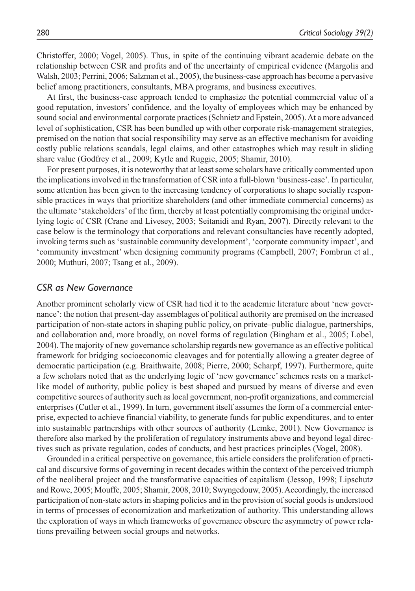Christoffer, 2000; Vogel, 2005). Thus, in spite of the continuing vibrant academic debate on the relationship between CSR and profits and of the uncertainty of empirical evidence (Margolis and Walsh, 2003; Perrini, 2006; Salzman et al., 2005), the business-case approach has become a pervasive belief among practitioners, consultants, MBA programs, and business executives.

At first, the business-case approach tended to emphasize the potential commercial value of a good reputation, investors' confidence, and the loyalty of employees which may be enhanced by sound social and environmental corporate practices (Schnietz and Epstein, 2005). At a more advanced level of sophistication, CSR has been bundled up with other corporate risk-management strategies, premised on the notion that social responsibility may serve as an effective mechanism for avoiding costly public relations scandals, legal claims, and other catastrophes which may result in sliding share value (Godfrey et al., 2009; Kytle and Ruggie, 2005; Shamir, 2010).

For present purposes, it is noteworthy that at least some scholars have critically commented upon the implications involved in the transformation of CSR into a full-blown 'business-case'. In particular, some attention has been given to the increasing tendency of corporations to shape socially responsible practices in ways that prioritize shareholders (and other immediate commercial concerns) as the ultimate 'stakeholders' of the firm, thereby at least potentially compromising the original underlying logic of CSR (Crane and Livesey, 2003; Seitanidi and Ryan, 2007). Directly relevant to the case below is the terminology that corporations and relevant consultancies have recently adopted, invoking terms such as 'sustainable community development', 'corporate community impact', and 'community investment' when designing community programs (Campbell, 2007; Fombrun et al., 2000; Muthuri, 2007; Tsang et al., 2009).

#### *CSR as New Governance*

Another prominent scholarly view of CSR had tied it to the academic literature about 'new governance': the notion that present-day assemblages of political authority are premised on the increased participation of non-state actors in shaping public policy, on private–public dialogue, partnerships, and collaboration and, more broadly, on novel forms of regulation (Bingham et al., 2005; Lobel, 2004). The majority of new governance scholarship regards new governance as an effective political framework for bridging socioeconomic cleavages and for potentially allowing a greater degree of democratic participation (e.g. Braithwaite, 2008; Pierre, 2000; Scharpf, 1997). Furthermore, quite a few scholars noted that as the underlying logic of 'new governance' schemes rests on a marketlike model of authority, public policy is best shaped and pursued by means of diverse and even competitive sources of authority such as local government, non-profit organizations, and commercial enterprises (Cutler et al., 1999). In turn, government itself assumes the form of a commercial enterprise, expected to achieve financial viability, to generate funds for public expenditures, and to enter into sustainable partnerships with other sources of authority (Lemke, 2001). New Governance is therefore also marked by the proliferation of regulatory instruments above and beyond legal directives such as private regulation, codes of conducts, and best practices principles (Vogel, 2008).

Grounded in a critical perspective on governance, this article considers the proliferation of practical and discursive forms of governing in recent decades within the context of the perceived triumph of the neoliberal project and the transformative capacities of capitalism (Jessop, 1998; Lipschutz and Rowe, 2005; Mouffe, 2005; Shamir, 2008, 2010; Swyngedouw, 2005). Accordingly, the increased participation of non-state actors in shaping policies and in the provision of social goods is understood in terms of processes of economization and marketization of authority. This understanding allows the exploration of ways in which frameworks of governance obscure the asymmetry of power relations prevailing between social groups and networks.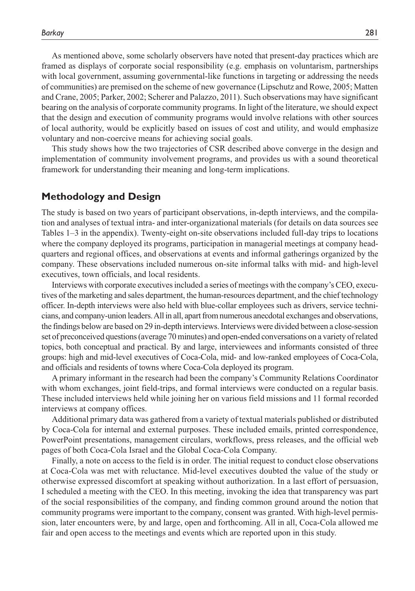As mentioned above, some scholarly observers have noted that present-day practices which are framed as displays of corporate social responsibility (e.g. emphasis on voluntarism, partnerships with local government, assuming governmental-like functions in targeting or addressing the needs of communities) are premised on the scheme of new governance (Lipschutz and Rowe, 2005; Matten and Crane, 2005; Parker, 2002; Scherer and Palazzo, 2011). Such observations may have significant bearing on the analysis of corporate community programs. In light of the literature, we should expect that the design and execution of community programs would involve relations with other sources of local authority, would be explicitly based on issues of cost and utility, and would emphasize voluntary and non-coercive means for achieving social goals.

This study shows how the two trajectories of CSR described above converge in the design and implementation of community involvement programs, and provides us with a sound theoretical framework for understanding their meaning and long-term implications.

#### **Methodology and Design**

The study is based on two years of participant observations, in-depth interviews, and the compilation and analyses of textual intra- and inter-organizational materials (for details on data sources see Tables 1–3 in the appendix). Twenty-eight on-site observations included full-day trips to locations where the company deployed its programs, participation in managerial meetings at company headquarters and regional offices, and observations at events and informal gatherings organized by the company. These observations included numerous on-site informal talks with mid- and high-level executives, town officials, and local residents.

Interviews with corporate executives included a series of meetings with the company's CEO, executives of the marketing and sales department, the human-resources department, and the chief technology officer. In-depth interviews were also held with blue-collar employees such as drivers, service technicians, and company-union leaders. All in all, apart from numerous anecdotal exchanges and observations, the findings below are based on 29 in-depth interviews. Interviews were divided between a close-session set of preconceived questions (average 70 minutes) and open-ended conversations on a variety of related topics, both conceptual and practical. By and large, interviewees and informants consisted of three groups: high and mid-level executives of Coca-Cola, mid- and low-ranked employees of Coca-Cola, and officials and residents of towns where Coca-Cola deployed its program.

A primary informant in the research had been the company's Community Relations Coordinator with whom exchanges, joint field-trips, and formal interviews were conducted on a regular basis. These included interviews held while joining her on various field missions and 11 formal recorded interviews at company offices.

Additional primary data was gathered from a variety of textual materials published or distributed by Coca-Cola for internal and external purposes. These included emails, printed correspondence, PowerPoint presentations, management circulars, workflows, press releases, and the official web pages of both Coca-Cola Israel and the Global Coca-Cola Company.

Finally, a note on access to the field is in order. The initial request to conduct close observations at Coca-Cola was met with reluctance. Mid-level executives doubted the value of the study or otherwise expressed discomfort at speaking without authorization. In a last effort of persuasion, I scheduled a meeting with the CEO. In this meeting, invoking the idea that transparency was part of the social responsibilities of the company, and finding common ground around the notion that community programs were important to the company, consent was granted. With high-level permission, later encounters were, by and large, open and forthcoming. All in all, Coca-Cola allowed me fair and open access to the meetings and events which are reported upon in this study.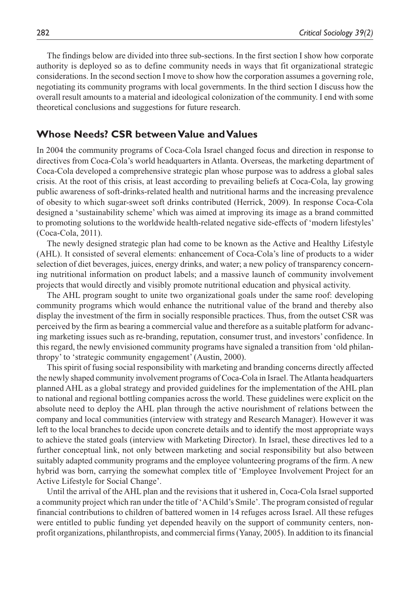The findings below are divided into three sub-sections. In the first section I show how corporate authority is deployed so as to define community needs in ways that fit organizational strategic considerations. In the second section I move to show how the corporation assumes a governing role, negotiating its community programs with local governments. In the third section I discuss how the overall result amounts to a material and ideological colonization of the community. I end with some theoretical conclusions and suggestions for future research.

#### **Whose Needs? CSR between Value and Values**

In 2004 the community programs of Coca-Cola Israel changed focus and direction in response to directives from Coca-Cola's world headquarters in Atlanta. Overseas, the marketing department of Coca-Cola developed a comprehensive strategic plan whose purpose was to address a global sales crisis. At the root of this crisis, at least according to prevailing beliefs at Coca-Cola, lay growing public awareness of soft-drinks-related health and nutritional harms and the increasing prevalence of obesity to which sugar-sweet soft drinks contributed (Herrick, 2009). In response Coca-Cola designed a 'sustainability scheme' which was aimed at improving its image as a brand committed to promoting solutions to the worldwide health-related negative side-effects of 'modern lifestyles' (Coca-Cola, 2011).

The newly designed strategic plan had come to be known as the Active and Healthy Lifestyle (AHL). It consisted of several elements: enhancement of Coca-Cola's line of products to a wider selection of diet beverages, juices, energy drinks, and water; a new policy of transparency concerning nutritional information on product labels; and a massive launch of community involvement projects that would directly and visibly promote nutritional education and physical activity.

The AHL program sought to unite two organizational goals under the same roof: developing community programs which would enhance the nutritional value of the brand and thereby also display the investment of the firm in socially responsible practices. Thus, from the outset CSR was perceived by the firm as bearing a commercial value and therefore as a suitable platform for advancing marketing issues such as re-branding, reputation, consumer trust, and investors' confidence. In this regard, the newly envisioned community programs have signaled a transition from 'old philanthropy' to 'strategic community engagement' (Austin, 2000).

This spirit of fusing social responsibility with marketing and branding concerns directly affected the newly shaped community involvement programs of Coca-Cola in Israel. The Atlanta headquarters planned AHL as a global strategy and provided guidelines for the implementation of the AHL plan to national and regional bottling companies across the world. These guidelines were explicit on the absolute need to deploy the AHL plan through the active nourishment of relations between the company and local communities (interview with strategy and Research Manager). However it was left to the local branches to decide upon concrete details and to identify the most appropriate ways to achieve the stated goals (interview with Marketing Director). In Israel, these directives led to a further conceptual link, not only between marketing and social responsibility but also between suitably adapted community programs and the employee volunteering programs of the firm. A new hybrid was born, carrying the somewhat complex title of 'Employee Involvement Project for an Active Lifestyle for Social Change'.

Until the arrival of the AHL plan and the revisions that it ushered in, Coca-Cola Israel supported a community project which ran under the title of 'A Child's Smile'. The program consisted of regular financial contributions to children of battered women in 14 refuges across Israel. All these refuges were entitled to public funding yet depended heavily on the support of community centers, nonprofit organizations, philanthropists, and commercial firms (Yanay, 2005). In addition to its financial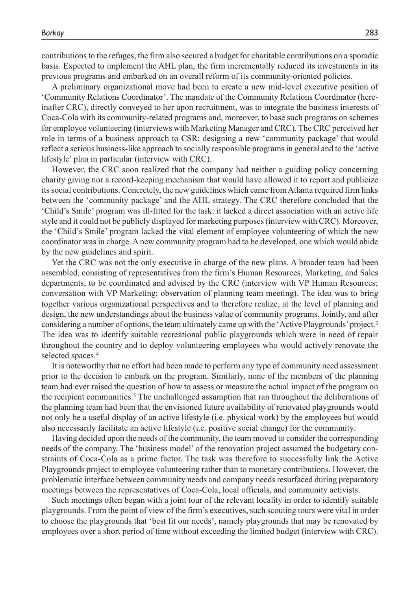contributions to the refuges, the firm also secured a budget for charitable contributions on a sporadic basis. Expected to implement the AHL plan, the firm incrementally reduced its investments in its previous programs and embarked on an overall reform of its community-oriented policies.

A preliminary organizational move had been to create a new mid-level executive position of 'Community Relations Coordinator'. The mandate of the Community Relations Coordinator (hereinafter CRC), directly conveyed to her upon recruitment, was to integrate the business interests of Coca-Cola with its community-related programs and, moreover, to base such programs on schemes for employee volunteering (interviews with Marketing Manager and CRC). The CRC perceived her role in terms of a business approach to CSR: designing a new 'community package' that would reflect a serious business-like approach to socially responsible programs in general and to the 'active lifestyle' plan in particular (interview with CRC).

However, the CRC soon realized that the company had neither a guiding policy concerning charity giving nor a record-keeping mechanism that would have allowed it to report and publicize its social contributions. Concretely, the new guidelines which came from Atlanta required firm links between the 'community package' and the AHL strategy. The CRC therefore concluded that the 'Child's Smile' program was ill-fitted for the task: it lacked a direct association with an active life style and it could not be publicly displayed for marketing purposes (interview with CRC). Moreover, the 'Child's Smile' program lacked the vital element of employee volunteering of which the new coordinator was in charge. A new community program had to be developed, one which would abide by the new guidelines and spirit.

Yet the CRC was not the only executive in charge of the new plans. A broader team had been assembled, consisting of representatives from the firm's Human Resources, Marketing, and Sales departments, to be coordinated and advised by the CRC (interview with VP Human Resources; conversation with VP Marketing; observation of planning team meeting). The idea was to bring together various organizational perspectives and to therefore realize, at the level of planning and design, the new understandings about the business value of community programs. Jointly, and after considering a number of options, the team ultimately came up with the 'Active Playgrounds' project.3 The idea was to identify suitable recreational public playgrounds which were in need of repair throughout the country and to deploy volunteering employees who would actively renovate the selected spaces.4

It is noteworthy that no effort had been made to perform any type of community need assessment prior to the decision to embark on the program. Similarly, none of the members of the planning team had ever raised the question of how to assess or measure the actual impact of the program on the recipient communities.<sup>5</sup> The unchallenged assumption that ran throughout the deliberations of the planning team had been that the envisioned future availability of renovated playgrounds would not only be a useful display of an active lifestyle (i.e. physical work) by the employees but would also necessarily facilitate an active lifestyle (i.e. positive social change) for the community.

Having decided upon the needs of the community, the team moved to consider the corresponding needs of the company. The 'business model' of the renovation project assumed the budgetary constraints of Coca-Cola as a prime factor. The task was therefore to successfully link the Active Playgrounds project to employee volunteering rather than to monetary contributions. However, the problematic interface between community needs and company needs resurfaced during preparatory meetings between the representatives of Coca-Cola, local officials, and community activists.

Such meetings often began with a joint tour of the relevant locality in order to identify suitable playgrounds. From the point of view of the firm's executives, such scouting tours were vital in order to choose the playgrounds that 'best fit our needs', namely playgrounds that may be renovated by employees over a short period of time without exceeding the limited budget (interview with CRC).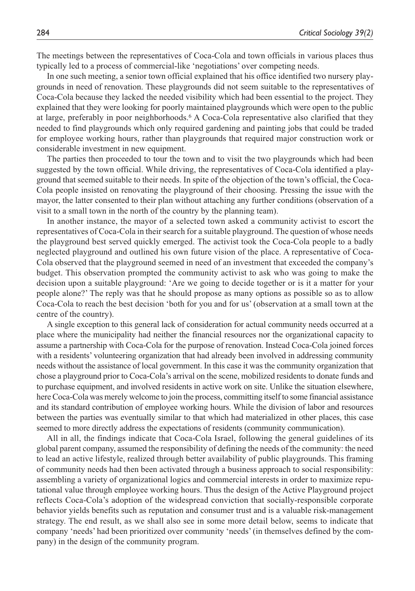The meetings between the representatives of Coca-Cola and town officials in various places thus typically led to a process of commercial-like 'negotiations' over competing needs.

In one such meeting, a senior town official explained that his office identified two nursery playgrounds in need of renovation. These playgrounds did not seem suitable to the representatives of Coca-Cola because they lacked the needed visibility which had been essential to the project. They explained that they were looking for poorly maintained playgrounds which were open to the public at large, preferably in poor neighborhoods.6 A Coca-Cola representative also clarified that they needed to find playgrounds which only required gardening and painting jobs that could be traded for employee working hours, rather than playgrounds that required major construction work or considerable investment in new equipment.

The parties then proceeded to tour the town and to visit the two playgrounds which had been suggested by the town official. While driving, the representatives of Coca-Cola identified a playground that seemed suitable to their needs. In spite of the objection of the town's official, the Coca-Cola people insisted on renovating the playground of their choosing. Pressing the issue with the mayor, the latter consented to their plan without attaching any further conditions (observation of a visit to a small town in the north of the country by the planning team).

In another instance, the mayor of a selected town asked a community activist to escort the representatives of Coca-Cola in their search for a suitable playground. The question of whose needs the playground best served quickly emerged. The activist took the Coca-Cola people to a badly neglected playground and outlined his own future vision of the place. A representative of Coca-Cola observed that the playground seemed in need of an investment that exceeded the company's budget. This observation prompted the community activist to ask who was going to make the decision upon a suitable playground: 'Are we going to decide together or is it a matter for your people alone?' The reply was that he should propose as many options as possible so as to allow Coca-Cola to reach the best decision 'both for you and for us' (observation at a small town at the centre of the country).

A single exception to this general lack of consideration for actual community needs occurred at a place where the municipality had neither the financial resources nor the organizational capacity to assume a partnership with Coca-Cola for the purpose of renovation. Instead Coca-Cola joined forces with a residents' volunteering organization that had already been involved in addressing community needs without the assistance of local government. In this case it was the community organization that chose a playground prior to Coca-Cola's arrival on the scene, mobilized residents to donate funds and to purchase equipment, and involved residents in active work on site. Unlike the situation elsewhere, here Coca-Cola was merely welcome to join the process, committing itself to some financial assistance and its standard contribution of employee working hours. While the division of labor and resources between the parties was eventually similar to that which had materialized in other places, this case seemed to more directly address the expectations of residents (community communication).

All in all, the findings indicate that Coca-Cola Israel, following the general guidelines of its global parent company, assumed the responsibility of defining the needs of the community: the need to lead an active lifestyle, realized through better availability of public playgrounds. This framing of community needs had then been activated through a business approach to social responsibility: assembling a variety of organizational logics and commercial interests in order to maximize reputational value through employee working hours. Thus the design of the Active Playground project reflects Coca-Cola's adoption of the widespread conviction that socially-responsible corporate behavior yields benefits such as reputation and consumer trust and is a valuable risk-management strategy. The end result, as we shall also see in some more detail below, seems to indicate that company 'needs' had been prioritized over community 'needs' (in themselves defined by the company) in the design of the community program.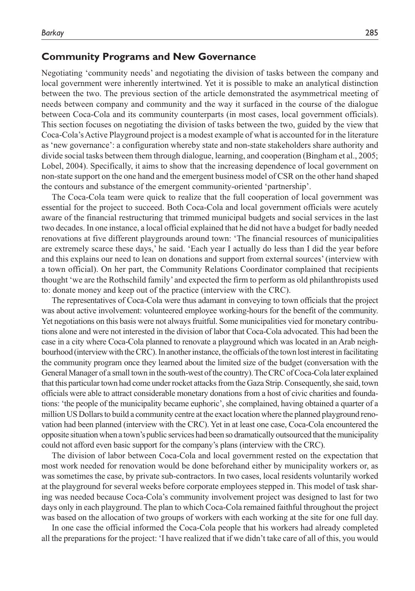#### **Community Programs and New Governance**

Negotiating 'community needs' and negotiating the division of tasks between the company and local government were inherently intertwined. Yet it is possible to make an analytical distinction between the two. The previous section of the article demonstrated the asymmetrical meeting of needs between company and community and the way it surfaced in the course of the dialogue between Coca-Cola and its community counterparts (in most cases, local government officials). This section focuses on negotiating the division of tasks between the two, guided by the view that Coca-Cola's Active Playground project is a modest example of what is accounted for in the literature as 'new governance': a configuration whereby state and non-state stakeholders share authority and divide social tasks between them through dialogue, learning, and cooperation (Bingham et al., 2005; Lobel, 2004). Specifically, it aims to show that the increasing dependence of local government on non-state support on the one hand and the emergent business model of CSR on the other hand shaped the contours and substance of the emergent community-oriented 'partnership'.

The Coca-Cola team were quick to realize that the full cooperation of local government was essential for the project to succeed. Both Coca-Cola and local government officials were acutely aware of the financial restructuring that trimmed municipal budgets and social services in the last two decades. In one instance, a local official explained that he did not have a budget for badly needed renovations at five different playgrounds around town: 'The financial resources of municipalities are extremely scarce these days,' he said. 'Each year I actually do less than I did the year before and this explains our need to lean on donations and support from external sources' (interview with a town official). On her part, the Community Relations Coordinator complained that recipients thought 'we are the Rothschild family' and expected the firm to perform as old philanthropists used to: donate money and keep out of the practice (interview with the CRC).

The representatives of Coca-Cola were thus adamant in conveying to town officials that the project was about active involvement: volunteered employee working-hours for the benefit of the community. Yet negotiations on this basis were not always fruitful. Some municipalities vied for monetary contributions alone and were not interested in the division of labor that Coca-Cola advocated. This had been the case in a city where Coca-Cola planned to renovate a playground which was located in an Arab neighbourhood (interview with the CRC). In another instance, the officials of the town lost interest in facilitating the community program once they learned about the limited size of the budget (conversation with the General Manager of a small town in the south-west of the country). The CRC of Coca-Cola later explained that this particular town had come under rocket attacks from the Gaza Strip. Consequently, she said, town officials were able to attract considerable monetary donations from a host of civic charities and foundations: 'the people of the municipality became euphoric', she complained, having obtained a quarter of a million US Dollars to build a community centre at the exact location where the planned playground renovation had been planned (interview with the CRC). Yet in at least one case, Coca-Cola encountered the opposite situation when a town's public services had been so dramatically outsourced that the municipality could not afford even basic support for the company's plans (interview with the CRC).

The division of labor between Coca-Cola and local government rested on the expectation that most work needed for renovation would be done beforehand either by municipality workers or, as was sometimes the case, by private sub-contractors. In two cases, local residents voluntarily worked at the playground for several weeks before corporate employees stepped in. This model of task sharing was needed because Coca-Cola's community involvement project was designed to last for two days only in each playground. The plan to which Coca-Cola remained faithful throughout the project was based on the allocation of two groups of workers with each working at the site for one full day.

In one case the official informed the Coca-Cola people that his workers had already completed all the preparations for the project: 'I have realized that if we didn't take care of all of this, you would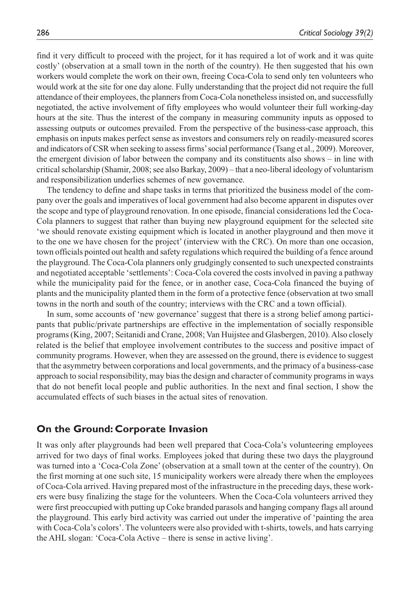find it very difficult to proceed with the project, for it has required a lot of work and it was quite costly' (observation at a small town in the north of the country). He then suggested that his own workers would complete the work on their own, freeing Coca-Cola to send only ten volunteers who would work at the site for one day alone. Fully understanding that the project did not require the full attendance of their employees, the planners from Coca-Cola nonetheless insisted on, and successfully negotiated, the active involvement of fifty employees who would volunteer their full working-day hours at the site. Thus the interest of the company in measuring community inputs as opposed to assessing outputs or outcomes prevailed. From the perspective of the business-case approach, this emphasis on inputs makes perfect sense as investors and consumers rely on readily-measured scores and indicators of CSR when seeking to assess firms' social performance (Tsang et al., 2009). Moreover, the emergent division of labor between the company and its constituents also shows – in line with critical scholarship (Shamir, 2008; see also Barkay, 2009) *–* that a neo-liberal ideology of voluntarism and responsibilization underlies schemes of new governance.

The tendency to define and shape tasks in terms that prioritized the business model of the company over the goals and imperatives of local government had also become apparent in disputes over the scope and type of playground renovation. In one episode, financial considerations led the Coca-Cola planners to suggest that rather than buying new playground equipment for the selected site 'we should renovate existing equipment which is located in another playground and then move it to the one we have chosen for the project' (interview with the CRC). On more than one occasion, town officials pointed out health and safety regulations which required the building of a fence around the playground. The Coca-Cola planners only grudgingly consented to such unexpected constraints and negotiated acceptable 'settlements': Coca-Cola covered the costs involved in paving a pathway while the municipality paid for the fence, or in another case, Coca-Cola financed the buying of plants and the municipality planted them in the form of a protective fence (observation at two small towns in the north and south of the country; interviews with the CRC and a town official).

In sum, some accounts of 'new governance' suggest that there is a strong belief among participants that public/private partnerships are effective in the implementation of socially responsible programs (King, 2007; Seitanidi and Crane, 2008; Van Huijstee and Glasbergen, 2010). Also closely related is the belief that employee involvement contributes to the success and positive impact of community programs. However, when they are assessed on the ground, there is evidence to suggest that the asymmetry between corporations and local governments, and the primacy of a business-case approach to social responsibility, may bias the design and character of community programs in ways that do not benefit local people and public authorities. In the next and final section, I show the accumulated effects of such biases in the actual sites of renovation.

#### **On the Ground: Corporate Invasion**

It was only after playgrounds had been well prepared that Coca-Cola's volunteering employees arrived for two days of final works. Employees joked that during these two days the playground was turned into a 'Coca-Cola Zone' (observation at a small town at the center of the country). On the first morning at one such site, 15 municipality workers were already there when the employees of Coca-Cola arrived. Having prepared most of the infrastructure in the preceding days, these workers were busy finalizing the stage for the volunteers. When the Coca-Cola volunteers arrived they were first preoccupied with putting up Coke branded parasols and hanging company flags all around the playground. This early bird activity was carried out under the imperative of 'painting the area with Coca-Cola's colors'. The volunteers were also provided with t-shirts, towels, and hats carrying the AHL slogan: 'Coca-Cola Active – there is sense in active living'.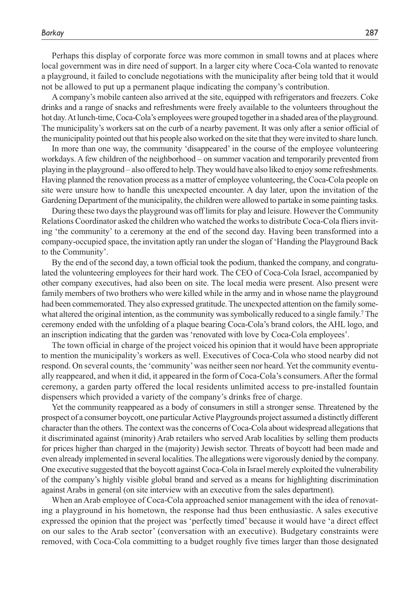Perhaps this display of corporate force was more common in small towns and at places where local government was in dire need of support. In a larger city where Coca-Cola wanted to renovate a playground, it failed to conclude negotiations with the municipality after being told that it would not be allowed to put up a permanent plaque indicating the company's contribution.

A company's mobile canteen also arrived at the site, equipped with refrigerators and freezers. Coke drinks and a range of snacks and refreshments were freely available to the volunteers throughout the hot day. At lunch-time, Coca-Cola's employees were grouped together in a shaded area of the playground. The municipality's workers sat on the curb of a nearby pavement. It was only after a senior official of the municipality pointed out that his people also worked on the site that they were invited to share lunch.

In more than one way, the community 'disappeared' in the course of the employee volunteering workdays. A few children of the neighborhood – on summer vacation and temporarily prevented from playing in the playground – also offered to help. They would have also liked to enjoy some refreshments. Having planned the renovation process as a matter of employee volunteering, the Coca-Cola people on site were unsure how to handle this unexpected encounter. A day later, upon the invitation of the Gardening Department of the municipality, the children were allowed to partake in some painting tasks.

During these two days the playground was off limits for play and leisure. However the Community Relations Coordinator asked the children who watched the works to distribute Coca-Cola fliers inviting 'the community' to a ceremony at the end of the second day. Having been transformed into a company-occupied space, the invitation aptly ran under the slogan of 'Handing the Playground Back to the Community'.

By the end of the second day, a town official took the podium, thanked the company, and congratulated the volunteering employees for their hard work. The CEO of Coca-Cola Israel, accompanied by other company executives, had also been on site. The local media were present. Also present were family members of two brothers who were killed while in the army and in whose name the playground had been commemorated. They also expressed gratitude. The unexpected attention on the family somewhat altered the original intention, as the community was symbolically reduced to a single family.7 The ceremony ended with the unfolding of a plaque bearing Coca-Cola's brand colors, the AHL logo, and an inscription indicating that the garden was 'renovated with love by Coca-Cola employees'.

The town official in charge of the project voiced his opinion that it would have been appropriate to mention the municipality's workers as well. Executives of Coca-Cola who stood nearby did not respond. On several counts, the 'community' was neither seen nor heard. Yet the community eventually reappeared, and when it did, it appeared in the form of Coca-Cola's consumers. After the formal ceremony, a garden party offered the local residents unlimited access to pre-installed fountain dispensers which provided a variety of the company's drinks free of charge.

Yet the community reappeared as a body of consumers in still a stronger sense. Threatened by the prospect of a consumer boycott, one particular Active Playgrounds project assumed a distinctly different character than the others. The context was the concerns of Coca-Cola about widespread allegations that it discriminated against (minority) Arab retailers who served Arab localities by selling them products for prices higher than charged in the (majority) Jewish sector. Threats of boycott had been made and even already implemented in several localities. The allegations were vigorously denied by the company. One executive suggested that the boycott against Coca-Cola in Israel merely exploited the vulnerability of the company's highly visible global brand and served as a means for highlighting discrimination against Arabs in general (on site interview with an executive from the sales department).

When an Arab employee of Coca-Cola approached senior management with the idea of renovating a playground in his hometown, the response had thus been enthusiastic. A sales executive expressed the opinion that the project was 'perfectly timed' because it would have 'a direct effect on our sales to the Arab sector' (conversation with an executive). Budgetary constraints were removed, with Coca-Cola committing to a budget roughly five times larger than those designated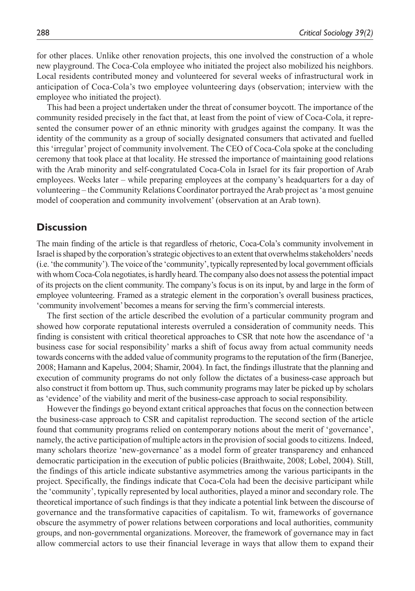for other places. Unlike other renovation projects, this one involved the construction of a whole new playground. The Coca-Cola employee who initiated the project also mobilized his neighbors. Local residents contributed money and volunteered for several weeks of infrastructural work in anticipation of Coca-Cola's two employee volunteering days (observation; interview with the employee who initiated the project).

This had been a project undertaken under the threat of consumer boycott. The importance of the community resided precisely in the fact that, at least from the point of view of Coca-Cola, it represented the consumer power of an ethnic minority with grudges against the company. It was the identity of the community as a group of socially designated consumers that activated and fuelled this 'irregular' project of community involvement. The CEO of Coca-Cola spoke at the concluding ceremony that took place at that locality. He stressed the importance of maintaining good relations with the Arab minority and self-congratulated Coca-Cola in Israel for its fair proportion of Arab employees. Weeks later – while preparing employees at the company's headquarters for a day of volunteering – the Community Relations Coordinator portrayed the Arab project as 'a most genuine model of cooperation and community involvement' (observation at an Arab town).

#### **Discussion**

The main finding of the article is that regardless of rhetoric, Coca-Cola's community involvement in Israel is shaped by the corporation's strategic objectives to an extent that overwhelms stakeholders' needs (i.e. 'the community'). The voice of the 'community', typically represented by local government officials with whom Coca-Cola negotiates, is hardly heard. The company also does not assess the potential impact of its projects on the client community. The company's focus is on its input, by and large in the form of employee volunteering. Framed as a strategic element in the corporation's overall business practices, 'community involvement' becomes a means for serving the firm's commercial interests.

The first section of the article described the evolution of a particular community program and showed how corporate reputational interests overruled a consideration of community needs. This finding is consistent with critical theoretical approaches to CSR that note how the ascendance of 'a business case for social responsibility' marks a shift of focus away from actual community needs towards concerns with the added value of community programs to the reputation of the firm (Banerjee, 2008; Hamann and Kapelus, 2004; Shamir, 2004). In fact, the findings illustrate that the planning and execution of community programs do not only follow the dictates of a business-case approach but also construct it from bottom up. Thus, such community programs may later be picked up by scholars as 'evidence' of the viability and merit of the business-case approach to social responsibility.

However the findings go beyond extant critical approaches that focus on the connection between the business-case approach to CSR and capitalist reproduction. The second section of the article found that community programs relied on contemporary notions about the merit of 'governance', namely, the active participation of multiple actors in the provision of social goods to citizens. Indeed, many scholars theorize 'new-governance' as a model form of greater transparency and enhanced democratic participation in the execution of public policies (Braithwaite, 2008; Lobel, 2004). Still, the findings of this article indicate substantive asymmetries among the various participants in the project. Specifically, the findings indicate that Coca-Cola had been the decisive participant while the 'community', typically represented by local authorities, played a minor and secondary role. The theoretical importance of such findings is that they indicate a potential link between the discourse of governance and the transformative capacities of capitalism. To wit, frameworks of governance obscure the asymmetry of power relations between corporations and local authorities, community groups, and non-governmental organizations. Moreover, the framework of governance may in fact allow commercial actors to use their financial leverage in ways that allow them to expand their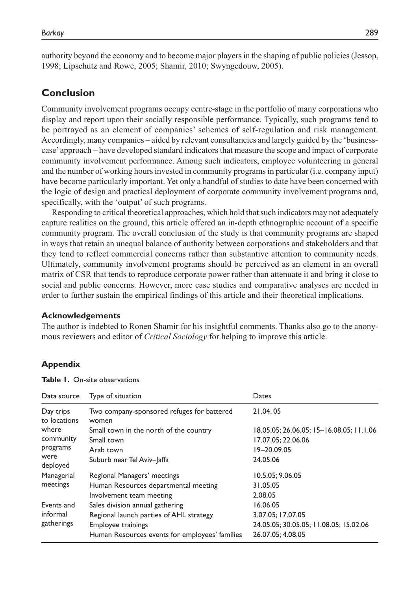authority beyond the economy and to become major players in the shaping of public policies (Jessop, 1998; Lipschutz and Rowe, 2005; Shamir, 2010; Swyngedouw, 2005).

### **Conclusion**

Community involvement programs occupy centre-stage in the portfolio of many corporations who display and report upon their socially responsible performance. Typically, such programs tend to be portrayed as an element of companies' schemes of self-regulation and risk management. Accordingly, many companies – aided by relevant consultancies and largely guided by the 'businesscase' approach – have developed standard indicators that measure the scope and impact of corporate community involvement performance. Among such indicators, employee volunteering in general and the number of working hours invested in community programs in particular (i.e. company input) have become particularly important. Yet only a handful of studies to date have been concerned with the logic of design and practical deployment of corporate community involvement programs and, specifically, with the 'output' of such programs.

Responding to critical theoretical approaches, which hold that such indicators may not adequately capture realities on the ground, this article offered an in-depth ethnographic account of a specific community program. The overall conclusion of the study is that community programs are shaped in ways that retain an unequal balance of authority between corporations and stakeholders and that they tend to reflect commercial concerns rather than substantive attention to community needs. Ultimately, community involvement programs should be perceived as an element in an overall matrix of CSR that tends to reproduce corporate power rather than attenuate it and bring it close to social and public concerns. However, more case studies and comparative analyses are needed in order to further sustain the empirical findings of this article and their theoretical implications.

#### **Acknowledgements**

The author is indebted to Ronen Shamir for his insightful comments. Thanks also go to the anonymous reviewers and editor of *Critical Sociology* for helping to improve this article.

#### **Appendix**

| Data source                  | Type of situation                                   | Dates                                    |
|------------------------------|-----------------------------------------------------|------------------------------------------|
| Day trips<br>to locations    | Two company-sponsored refuges for battered<br>women | 21.04.05                                 |
| where                        | Small town in the north of the country              | 18.05.05; 26.06.05; 15-16.08.05; 11.1.06 |
| community                    | Small town                                          | 17.07.05; 22.06.06                       |
| programs<br>were<br>deployed | Arab town                                           | 19-20.09.05                              |
|                              | Suburb near Tel Aviv-Jaffa                          | 24.05.06                                 |
| Managerial<br>meetings       | Regional Managers' meetings                         | 10.5.05; 9.06.05                         |
|                              | Human Resources departmental meeting                | 31.05.05                                 |
|                              | Involvement team meeting                            | 2.08.05                                  |
| Events and                   | Sales division annual gathering                     | 16.06.05                                 |
| informal<br>gatherings       | Regional launch parties of AHL strategy             | 3.07.05; 17.07.05                        |
|                              | <b>Employee trainings</b>                           | 24.05.05; 30.05.05; 11.08.05; 15.02.06   |
|                              | Human Resources events for employees' families      | 26.07.05: 4.08.05                        |

#### **Table 1.** On-site observations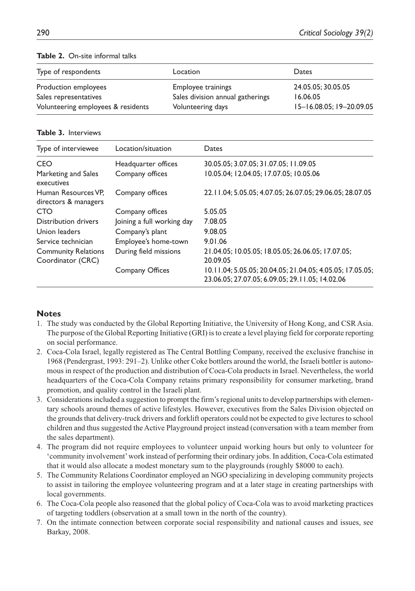| Type of respondents                | Location                         | Dates                    |
|------------------------------------|----------------------------------|--------------------------|
| Production employees               | Employee trainings               | 24.05.05: 30.05.05       |
| Sales representatives              | Sales division annual gatherings | 16.06.05                 |
| Volunteering employees & residents | Volunteering days                | 15-16.08.05; 19-20.09.05 |

#### **Table 2.** On-site informal talks

#### **Table 3.** Interviews

| Type of interviewee                             | Location/situation         | Dates                                                                                                        |
|-------------------------------------------------|----------------------------|--------------------------------------------------------------------------------------------------------------|
| <b>CEO</b>                                      | Headquarter offices        | 30.05.05; 3.07.05; 31.07.05; 11.09.05                                                                        |
| Marketing and Sales<br>executives               | Company offices            | 10.05.04; 12.04.05; 17.07.05; 10.05.06                                                                       |
| Human Resources VP.<br>directors & managers     | Company offices            | 22.11.04; 5.05.05; 4.07.05; 26.07.05; 29.06.05; 28.07.05                                                     |
| CTO                                             | Company offices            | 5.05.05                                                                                                      |
| Distribution drivers                            | Joining a full working day | 7.08.05                                                                                                      |
| Union leaders                                   | Company's plant            | 9.08.05                                                                                                      |
| Service technician                              | Employee's home-town       | 9.01.06                                                                                                      |
| <b>Community Relations</b><br>Coordinator (CRC) | During field missions      | 21.04.05; 10.05.05; 18.05.05; 26.06.05; 17.07.05;<br>20.09.05                                                |
|                                                 | Company Offices            | 10.11.04; 5.05.05; 20.04.05; 21.04.05; 4.05.05; 17.05.05;<br>23.06.05; 27.07.05; 6.09.05; 29.11.05; 14.02.06 |

#### **Notes**

- 1. The study was conducted by the Global Reporting Initiative, the University of Hong Kong, and CSR Asia. The purpose of the Global Reporting Initiative (GRI) is to create a level playing field for corporate reporting on social performance.
- 2. Coca-Cola Israel, legally registered as The Central Bottling Company, received the exclusive franchise in 1968 (Pendergrast, 1993: 291–2). Unlike other Coke bottlers around the world, the Israeli bottler is autonomous in respect of the production and distribution of Coca-Cola products in Israel. Nevertheless, the world headquarters of the Coca-Cola Company retains primary responsibility for consumer marketing, brand promotion, and quality control in the Israeli plant.
- 3. Considerations included a suggestion to prompt the firm's regional units to develop partnerships with elementary schools around themes of active lifestyles. However, executives from the Sales Division objected on the grounds that delivery-truck drivers and forklift operators could not be expected to give lectures to school children and thus suggested the Active Playground project instead (conversation with a team member from the sales department).
- 4. The program did not require employees to volunteer unpaid working hours but only to volunteer for 'community involvement' work instead of performing their ordinary jobs. In addition, Coca-Cola estimated that it would also allocate a modest monetary sum to the playgrounds (roughly \$8000 to each).
- 5. The Community Relations Coordinator employed an NGO specializing in developing community projects to assist in tailoring the employee volunteering program and at a later stage in creating partnerships with local governments.
- 6. The Coca-Cola people also reasoned that the global policy of Coca-Cola was to avoid marketing practices of targeting toddlers (observation at a small town in the north of the country).
- 7. On the intimate connection between corporate social responsibility and national causes and issues, see Barkay, 2008.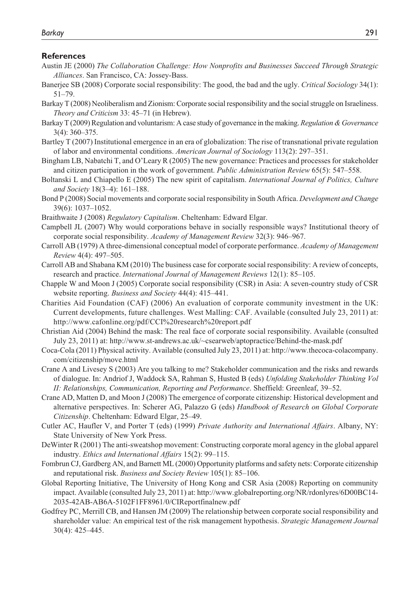#### **References**

- Austin JE (2000) *The Collaboration Challenge: How Nonprofits and Businesses Succeed Through Strategic Alliances*. San Francisco, CA: Jossey-Bass.
- Banerjee SB (2008) Corporate social responsibility: The good, the bad and the ugly. *Critical Sociology* 34(1): 51–79.
- Barkay T (2008) Neoliberalism and Zionism: Corporate social responsibility and the social struggle on Israeliness. *Theory and Criticism* 33: 45–71 (in Hebrew).
- Barkay T (2009) Regulation and voluntarism: A case study of governance in the making. *Regulation & Governance* 3(4): 360–375.
- Bartley T (2007) Institutional emergence in an era of globalization: The rise of transnational private regulation of labor and environmental conditions. *American Journal of Sociology* 113(2): 297–351.
- Bingham LB, Nabatchi T, and O'Leary R (2005) The new governance: Practices and processes for stakeholder and citizen participation in the work of government. *Public Administration Review* 65(5): 547–558.
- Boltanski L and Chiapello E (2005) The new spirit of capitalism. *International Journal of Politics, Culture and Society* 18(3–4): 161–188.
- Bond P (2008) Social movements and corporate social responsibility in South Africa. *Development and Change* 39(6): 1037–1052.
- Braithwaite J (2008) *Regulatory Capitalism*. Cheltenham: Edward Elgar.
- Campbell JL (2007) Why would corporations behave in socially responsible ways? Institutional theory of corporate social responsibility. *Academy of Management Review* 32(3): 946–967.
- Carroll AB (1979) A three-dimensional conceptual model of corporate performance. *Academy of Management Review* 4(4): 497–505.
- Carroll AB and Shabana KM (2010) The business case for corporate social responsibility: A review of concepts, research and practice. *International Journal of Management Reviews* 12(1): 85–105.
- Chapple W and Moon J (2005) Corporate social responsibility (CSR) in Asia: A seven-country study of CSR website reporting. *Business and Society* 44(4): 415–441.
- Charities Aid Foundation (CAF) (2006) An evaluation of corporate community investment in the UK: Current developments, future challenges. West Malling: CAF. Available (consulted July 23, 2011) at: http://www.cafonline.org/pdf/CCI%20research%20report.pdf
- Christian Aid (2004) Behind the mask: The real face of corporate social responsibility. Available (consulted July 23, 2011) at: http://www.st-andrews.ac.uk/~csearweb/aptopractice/Behind-the-mask.pdf
- Coca-Cola (2011) Physical activity. Available (consulted July 23, 2011) at: http://www.thecoca-colacompany. com/citizenship/move.html
- Crane A and Livesey S (2003) Are you talking to me? Stakeholder communication and the risks and rewards of dialogue. In: Andriof J, Waddock SA, Rahman S, Husted B (eds) *Unfolding Stakeholder Thinking Vol II: Relationships, Communication, Reporting and Performance*. Sheffield: Greenleaf, 39–52.
- Crane AD, Matten D, and Moon J (2008) The emergence of corporate citizenship: Historical development and alternative perspectives. In: Scherer AG, Palazzo G (eds) *Handbook of Research on Global Corporate Citizenship*. Cheltenham: Edward Elgar, 25–49.
- Cutler AC, Haufler V, and Porter T (eds) (1999) *Private Authority and International Affairs*. Albany, NY: State University of New York Press.
- DeWinter R (2001) The anti-sweatshop movement: Constructing corporate moral agency in the global apparel industry. *Ethics and International Affairs* 15(2): 99–115.
- Fombrun CJ, Gardberg AN, and Barnett ML (2000) Opportunity platforms and safety nets: Corporate citizenship and reputational risk. *Business and Society Review* 105(1): 85–106.
- Global Reporting Initiative, The University of Hong Kong and CSR Asia (2008) Reporting on community impact. Available (consulted July 23, 2011) at: http://www.globalreporting.org/NR/rdonlyres/6D00BC14- 2035-42AB-AB6A-5102F1FF8961/0/CIReportfinalnew.pdf
- Godfrey PC, Merrill CB, and Hansen JM (2009) The relationship between corporate social responsibility and shareholder value: An empirical test of the risk management hypothesis. *Strategic Management Journal* 30(4): 425–445.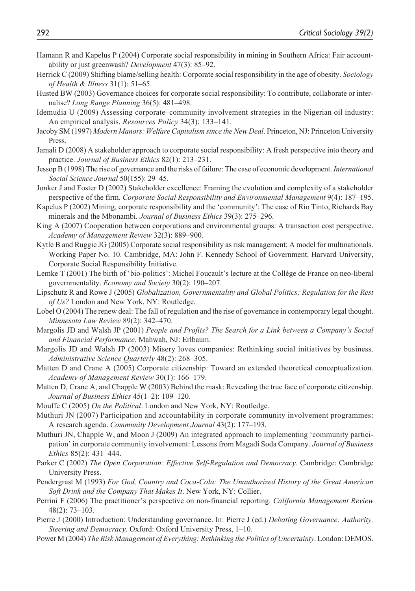- Hamann R and Kapelus P (2004) Corporate social responsibility in mining in Southern Africa: Fair accountability or just greenwash? *Development* 47(3): 85–92.
- Herrick C (2009) Shifting blame/selling health: Corporate social responsibility in the age of obesity. *Sociology of Health & Illness* 31(1): 51–65.
- Husted BW (2003) Governance choices for corporate social responsibility: To contribute, collaborate or internalise? *Long Range Planning* 36(5): 481–498.
- Idemudia U (2009) Assessing corporate–community involvement strategies in the Nigerian oil industry: An empirical analysis. *Resources Policy* 34(3): 133–141.
- Jacoby SM (1997) *Modern Manors: Welfare Capitalism since the New Deal*. Princeton, NJ: Princeton University Press.
- Jamali D (2008) A stakeholder approach to corporate social responsibility: A fresh perspective into theory and practice. *Journal of Business Ethics* 82(1): 213–231.
- Jessop B (1998) The rise of governance and the risks of failure: The case of economic development. *International Social Science Journal* 50(155): 29–45.
- Jonker J and Foster D (2002) Stakeholder excellence: Framing the evolution and complexity of a stakeholder perspective of the firm. *Corporate Social Responsibility and Environmental Management* 9(4): 187–195.
- Kapelus P (2002) Mining, corporate responsibility and the 'community': The case of Rio Tinto, Richards Bay minerals and the Mbonambi. *Journal of Business Ethics* 39(3): 275–296.
- King A (2007) Cooperation between corporations and environmental groups: A transaction cost perspective. *Academy of Management Review* 32(3): 889–900.
- Kytle B and Ruggie JG (2005) Corporate social responsibility as risk management: A model for multinationals. Working Paper No. 10. Cambridge, MA: John F. Kennedy School of Government, Harvard University, Corporate Social Responsibility Initiative.
- Lemke T (2001) The birth of 'bio-politics': Michel Foucault's lecture at the Collège de France on neo-liberal governmentality. *Economy and Society* 30(2): 190–207.
- Lipschutz R and Rowe J (2005) *Globalization, Governmentality and Global Politics; Regulation for the Rest of Us?* London and New York, NY: Routledge.
- Lobel O (2004) The renew deal: The fall of regulation and the rise of governance in contemporary legal thought. *Minnesota Law Review* 89(2): 342–470.
- Margolis JD and Walsh JP (2001) *People and Profits? The Search for a Link between a Company's Social and Financial Performance*. Mahwah, NJ: Erlbaum.
- Margolis JD and Walsh JP (2003) Misery loves companies: Rethinking social initiatives by business. *Administrative Science Quarterly* 48(2): 268–305.
- Matten D and Crane A (2005) Corporate citizenship: Toward an extended theoretical conceptualization. *Academy of Management Review* 30(1): 166–179.
- Matten D, Crane A, and Chapple W (2003) Behind the mask: Revealing the true face of corporate citizenship. *Journal of Business Ethics* 45(1–2): 109–120.
- Mouffe C (2005) *On the Political*. London and New York, NY: Routledge.
- Muthuri JN (2007) Participation and accountability in corporate community involvement programmes: A research agenda. *Community Development Journal* 43(2): 177–193.
- Muthuri JN, Chapple W, and Moon J (2009) An integrated approach to implementing 'community participation' in corporate community involvement: Lessons from Magadi Soda Company. *Journal of Business Ethics* 85(2): 431–444.
- Parker C (2002) *The Open Corporation: Effective Self-Regulation and Democracy*. Cambridge: Cambridge University Press.
- Pendergrast M (1993) *For God, Country and Coca-Cola: The Unauthorized History of the Great American Soft Drink and the Company That Makes It*. New York, NY: Collier.
- Perrini F (2006) The practitioner's perspective on non-financial reporting. *California Management Review* 48(2): 73–103.
- Pierre J (2000) Introduction: Understanding governance. In: Pierre J (ed.) *Debating Governance: Authority, Steering and Democracy*. Oxford: Oxford University Press, 1–10.
- Power M (2004) *The Risk Management of Everything: Rethinking the Politics of Uncertainty*. London: DEMOS.